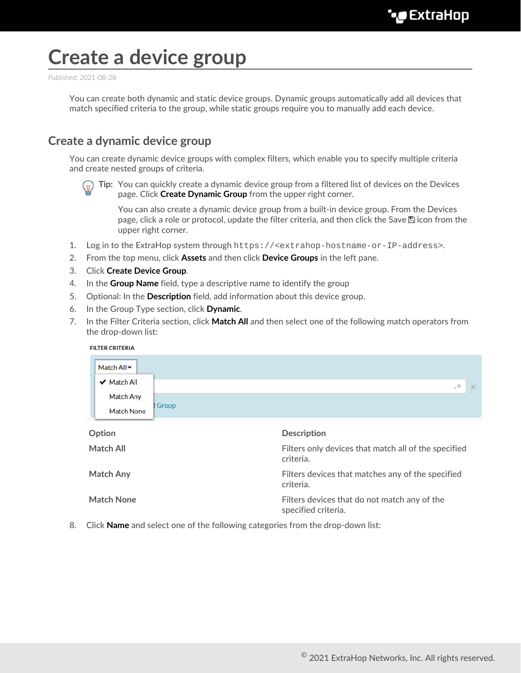# **Create a device group**

Published: 2021-08-28

You can create both dynamic and static device groups. Dynamic groups automatically add all devices that match specified criteria to the group, while static groups require you to manually add each device.

### **Create a dynamic device group**

You can create dynamic device groups with complex filters, which enable you to specify multiple criteria and create nested groups of criteria.



**Tip:** You can quickly create a dynamic device group from a filtered list of devices on the Devices page. Click **Create Dynamic Group** from the upper right corner.

You can also create a dynamic device group from a built-in device group. From the Devices page, click a role or protocol, update the filter criteria, and then click the Save hicon from the upper right corner.

- 1. Log in to the ExtraHop system through https://<extrahop-hostname-or-IP-address>.
- 2. From the top menu, click **Assets** and then click **Device Groups** in the left pane.
- 3. Click **Create Device Group**.
- 4. In the **Group Name** field, type a descriptive name to identify the group
- 5. Optional: In the **Description** field, add information about this device group.
- 6. In the Group Type section, click **Dynamic**.
- 7. In the Filter Criteria section, click **Match All** and then select one of the following match operators from the drop-down list:

| <b>FILTER CRITERIA</b> |  |
|------------------------|--|
|                        |  |

|                  | Match All <del>▼</del> |                                                                   |
|------------------|------------------------|-------------------------------------------------------------------|
|                  | ✔ Match All            | $\gg$<br>$\propto$                                                |
|                  | Match Any              |                                                                   |
|                  | Match None             | Group                                                             |
|                  | Option                 | <b>Description</b>                                                |
| <b>Match All</b> |                        | Filters only devices that match all of the specified<br>criteria. |

**Match Any** Filters devices that matches any of the specified criteria.

**Match None** Filters devices that do not match any of the specified criteria.

8. Click **Name** and select one of the following categories from the drop-down list: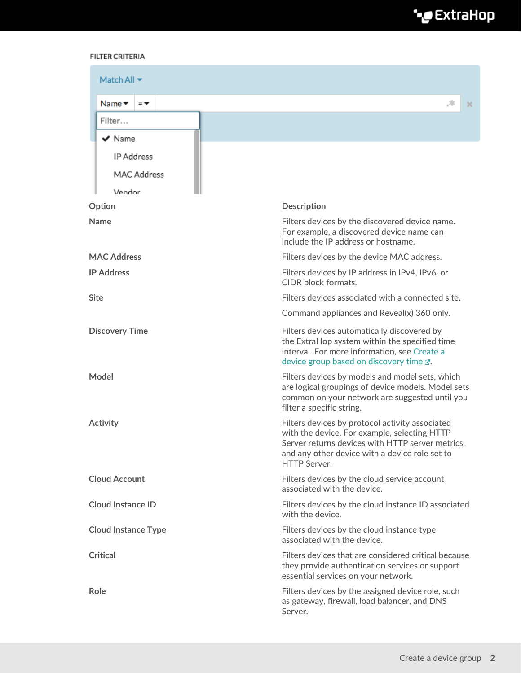# ExtraHop ہے-

#### **FILTER CRITERIA**

| Match All $\blacktriangledown$                        |                                                                                                                                                                                                                              |  |  |  |
|-------------------------------------------------------|------------------------------------------------------------------------------------------------------------------------------------------------------------------------------------------------------------------------------|--|--|--|
| Name $\blacktriangledown$<br>$=$ $\blacktriangledown$ | $\mathcal{G}_{\mathbb{C}_2}$<br>×                                                                                                                                                                                            |  |  |  |
| Filter                                                |                                                                                                                                                                                                                              |  |  |  |
| $\vee$ Name                                           |                                                                                                                                                                                                                              |  |  |  |
| <b>IP Address</b>                                     |                                                                                                                                                                                                                              |  |  |  |
| <b>MAC Address</b>                                    |                                                                                                                                                                                                                              |  |  |  |
| Vendor                                                |                                                                                                                                                                                                                              |  |  |  |
| Option                                                | <b>Description</b>                                                                                                                                                                                                           |  |  |  |
| <b>Name</b>                                           | Filters devices by the discovered device name.<br>For example, a discovered device name can<br>include the IP address or hostname.                                                                                           |  |  |  |
| <b>MAC Address</b>                                    | Filters devices by the device MAC address.                                                                                                                                                                                   |  |  |  |
| <b>IP Address</b>                                     | Filters devices by IP address in IPv4, IPv6, or<br><b>CIDR</b> block formats.                                                                                                                                                |  |  |  |
| <b>Site</b>                                           | Filters devices associated with a connected site.                                                                                                                                                                            |  |  |  |
|                                                       | Command appliances and Reveal(x) 360 only.                                                                                                                                                                                   |  |  |  |
| <b>Discovery Time</b>                                 | Filters devices automatically discovered by<br>the ExtraHop system within the specified time<br>interval. For more information, see Create a<br>device group based on discovery time E.                                      |  |  |  |
| Model                                                 | Filters devices by models and model sets, which<br>are logical groupings of device models. Model sets<br>common on your network are suggested until you<br>filter a specific string.                                         |  |  |  |
| <b>Activity</b>                                       | Filters devices by protocol activity associated<br>with the device. For example, selecting HTTP<br>Server returns devices with HTTP server metrics,<br>and any other device with a device role set to<br><b>HTTP Server.</b> |  |  |  |
| <b>Cloud Account</b>                                  | Filters devices by the cloud service account<br>associated with the device.                                                                                                                                                  |  |  |  |
| <b>Cloud Instance ID</b>                              | Filters devices by the cloud instance ID associated<br>with the device.                                                                                                                                                      |  |  |  |
| <b>Cloud Instance Type</b>                            | Filters devices by the cloud instance type<br>associated with the device.                                                                                                                                                    |  |  |  |
| <b>Critical</b>                                       | Filters devices that are considered critical because<br>they provide authentication services or support<br>essential services on your network.                                                                               |  |  |  |
| Role                                                  | Filters devices by the assigned device role, such<br>as gateway, firewall, load balancer, and DNS<br>Server.                                                                                                                 |  |  |  |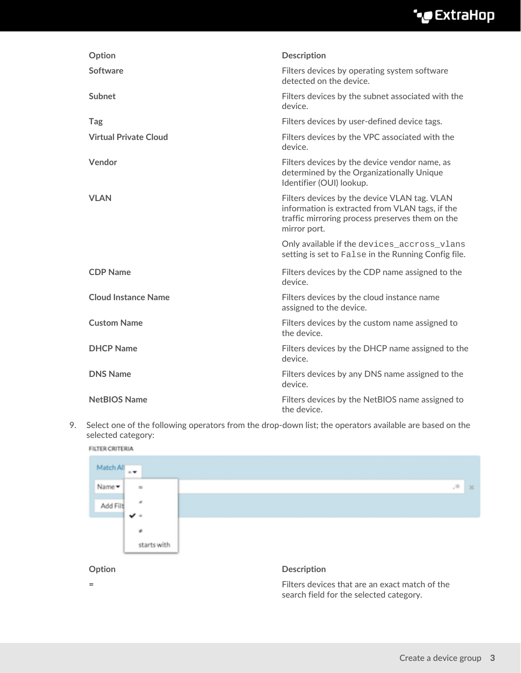## ExtraHop ہے-

| Option                       | <b>Description</b>                                                                                                                                                 |
|------------------------------|--------------------------------------------------------------------------------------------------------------------------------------------------------------------|
| Software                     | Filters devices by operating system software<br>detected on the device.                                                                                            |
| Subnet                       | Filters devices by the subnet associated with the<br>device.                                                                                                       |
| <b>Tag</b>                   | Filters devices by user-defined device tags.                                                                                                                       |
| <b>Virtual Private Cloud</b> | Filters devices by the VPC associated with the<br>device.                                                                                                          |
| Vendor                       | Filters devices by the device vendor name, as<br>determined by the Organizationally Unique<br>Identifier (OUI) lookup.                                             |
| <b>VLAN</b>                  | Filters devices by the device VLAN tag. VLAN<br>information is extracted from VLAN tags, if the<br>traffic mirroring process preserves them on the<br>mirror port. |
|                              | Only available if the devices_accross_vlans<br>setting is set to False in the Running Config file.                                                                 |
| <b>CDP Name</b>              | Filters devices by the CDP name assigned to the<br>device.                                                                                                         |
| <b>Cloud Instance Name</b>   | Filters devices by the cloud instance name<br>assigned to the device.                                                                                              |
| <b>Custom Name</b>           | Filters devices by the custom name assigned to<br>the device.                                                                                                      |
| <b>DHCP Name</b>             | Filters devices by the DHCP name assigned to the<br>device.                                                                                                        |
| <b>DNS Name</b>              | Filters devices by any DNS name assigned to the<br>device.                                                                                                         |
| <b>NetBIOS Name</b>          | Filters devices by the NetBIOS name assigned to<br>the device.                                                                                                     |

9. Select one of the following operators from the drop-down list; the operators available are based on the selected category:

FILTER CRITERIA



search field for the selected category.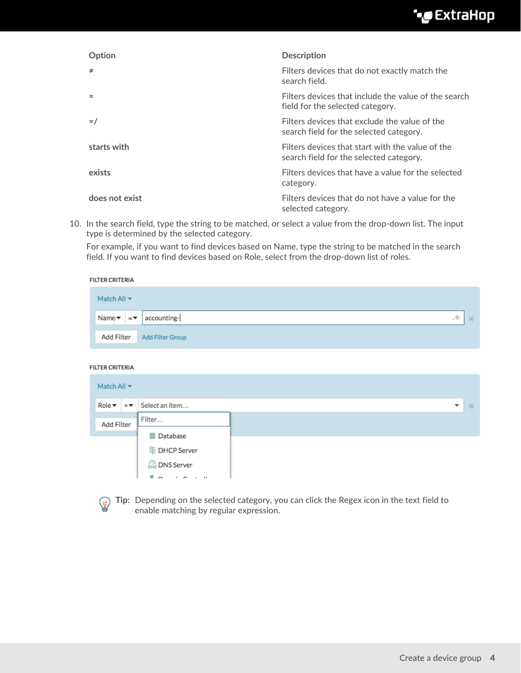### ExtraHop ہے-

| Option         | <b>Description</b>                                                                          |
|----------------|---------------------------------------------------------------------------------------------|
| $\neq$         | Filters devices that do not exactly match the<br>search field.                              |
| $\simeq$       | Filters devices that include the value of the search<br>field for the selected category.    |
| $\approx$ /    | Filters devices that exclude the value of the<br>search field for the selected category.    |
| starts with    | Filters devices that start with the value of the<br>search field for the selected category. |
| exists         | Filters devices that have a value for the selected<br>category.                             |
| does not exist | Filters devices that do not have a value for the<br>selected category.                      |

10. In the search field, type the string to be matched, or select a value from the drop-down list. The input type is determined by the selected category.

For example, if you want to find devices based on Name, type the string to be matched in the search field. If you want to find devices based on Role, select from the drop-down list of roles.

| <b>FILTER CRITERIA</b> |                                    |  |                             |  |
|------------------------|------------------------------------|--|-----------------------------|--|
|                        | Match All $\blacktriangledown$     |  |                             |  |
|                        | Name $\bullet$ $\approx$ $\bullet$ |  | accounting-<br>÷.<br>$2$    |  |
|                        |                                    |  | Add Filter Add Filter Group |  |

#### FILTER CRITERIA

| Match All $\blacktriangledown$ |                          |                                |   |           |
|--------------------------------|--------------------------|--------------------------------|---|-----------|
| Role▼                          | $=$ $\blacktriangledown$ | Select an item                 | ▼ | $\propto$ |
| Add Filter                     |                          | Filter                         |   |           |
|                                |                          | <b>量 Database</b>              |   |           |
|                                |                          | 里 DHCP Server                  |   |           |
|                                |                          | <b>The DNS Server</b>          |   |           |
|                                |                          | $\blacksquare$<br>$\mathbf{u}$ |   |           |



**Tip:** Depending on the selected category, you can click the Regex icon in the text field to enable matching by regular expression.